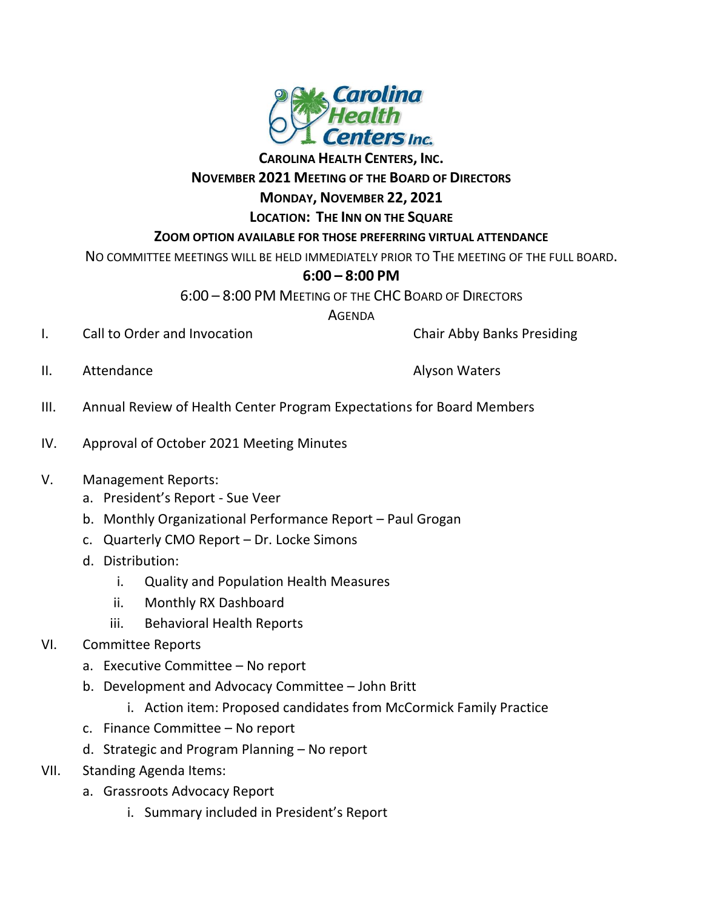

**CAROLINA HEALTH CENTERS, INC.**

### **NOVEMBER 2021 MEETING OF THE BOARD OF DIRECTORS**

# **MONDAY, NOVEMBER 22, 2021**

**LOCATION: THE INN ON THE SQUARE**

### **ZOOM OPTION AVAILABLE FOR THOSE PREFERRING VIRTUAL ATTENDANCE**

NO COMMITTEE MEETINGS WILL BE HELD IMMEDIATELY PRIOR TO THE MEETING OF THE FULL BOARD.

## **6:00 – 8:00 PM**

6:00 – 8:00 PM MEETING OF THE CHC BOARD OF DIRECTORS

AGENDA

I. Call to Order and Invocation **Chair Abby Banks Presiding** 

II. Attendance Alyson Waters

- III. Annual Review of Health Center Program Expectations for Board Members
- IV. Approval of October 2021 Meeting Minutes

## V. Management Reports:

- a. President's Report Sue Veer
- b. Monthly Organizational Performance Report Paul Grogan
- c. Quarterly CMO Report Dr. Locke Simons
- d. Distribution:
	- i. Quality and Population Health Measures
	- ii. Monthly RX Dashboard
	- iii. Behavioral Health Reports

## VI. Committee Reports

- a. Executive Committee No report
- b. Development and Advocacy Committee John Britt
	- i. Action item: Proposed candidates from McCormick Family Practice
- c. Finance Committee No report
- d. Strategic and Program Planning No report
- VII. Standing Agenda Items:
	- a. Grassroots Advocacy Report
		- i. Summary included in President's Report